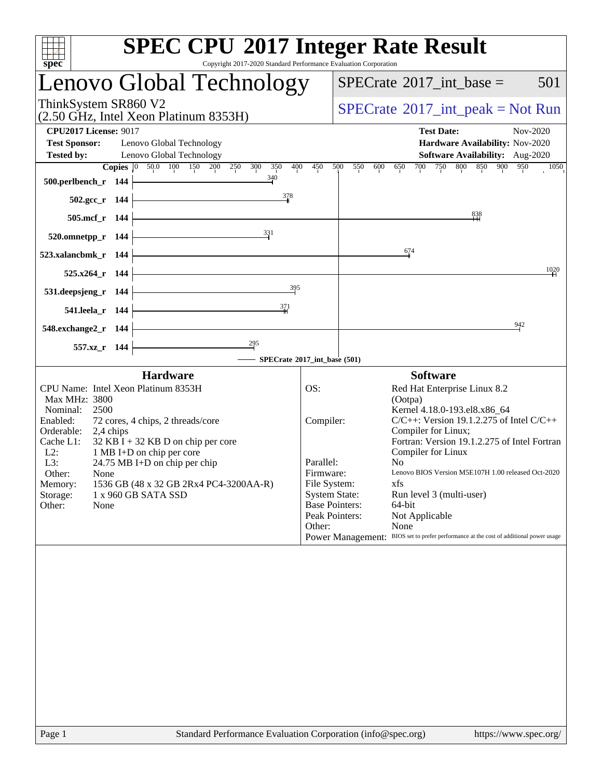|                          |                                                | <b>SPEC CPU®2017 Integer Rate Result</b>                                                                                                                                                                                                                                                                                                                                                                                                                       |  |  |  |
|--------------------------|------------------------------------------------|----------------------------------------------------------------------------------------------------------------------------------------------------------------------------------------------------------------------------------------------------------------------------------------------------------------------------------------------------------------------------------------------------------------------------------------------------------------|--|--|--|
|                          |                                                |                                                                                                                                                                                                                                                                                                                                                                                                                                                                |  |  |  |
| Lenovo Global Technology | 501<br>$SPECTate$ <sup>®</sup> 2017_int_base = |                                                                                                                                                                                                                                                                                                                                                                                                                                                                |  |  |  |
|                          |                                                | $SPECrate^{\circledast}2017\_int\_peak = Not Run$                                                                                                                                                                                                                                                                                                                                                                                                              |  |  |  |
|                          |                                                | <b>Test Date:</b><br>Nov-2020<br>Hardware Availability: Nov-2020<br>Software Availability: Aug-2020<br>700<br>750<br>800<br>850<br>900<br>950<br>1050<br>650                                                                                                                                                                                                                                                                                                   |  |  |  |
|                          |                                                |                                                                                                                                                                                                                                                                                                                                                                                                                                                                |  |  |  |
|                          |                                                | 838                                                                                                                                                                                                                                                                                                                                                                                                                                                            |  |  |  |
|                          |                                                |                                                                                                                                                                                                                                                                                                                                                                                                                                                                |  |  |  |
|                          |                                                | 674                                                                                                                                                                                                                                                                                                                                                                                                                                                            |  |  |  |
|                          |                                                | 1020                                                                                                                                                                                                                                                                                                                                                                                                                                                           |  |  |  |
|                          |                                                |                                                                                                                                                                                                                                                                                                                                                                                                                                                                |  |  |  |
|                          |                                                |                                                                                                                                                                                                                                                                                                                                                                                                                                                                |  |  |  |
|                          |                                                | 942                                                                                                                                                                                                                                                                                                                                                                                                                                                            |  |  |  |
|                          |                                                |                                                                                                                                                                                                                                                                                                                                                                                                                                                                |  |  |  |
|                          |                                                | <b>Software</b>                                                                                                                                                                                                                                                                                                                                                                                                                                                |  |  |  |
| OS:<br>Other:            |                                                | Red Hat Enterprise Linux 8.2<br>(Ootpa)<br>Kernel 4.18.0-193.el8.x86_64<br>$C/C++$ : Version 19.1.2.275 of Intel $C/C++$<br>Compiler for Linux;<br>Fortran: Version 19.1.2.275 of Intel Fortran<br>Compiler for Linux<br>N <sub>0</sub><br>Lenovo BIOS Version M5E107H 1.00 released Oct-2020<br>xfs<br>Run level 3 (multi-user)<br>64-bit<br>Not Applicable<br>None<br>Power Management: BIOS set to prefer performance at the cost of additional power usage |  |  |  |
|                          | 450                                            | Copyright 2017-2020 Standard Performance Evaluation Corporation<br>500<br>550<br>600<br>SPECrate®2017_int_base (501)<br>Compiler:<br>Parallel:<br>Firmware:<br>File System:<br><b>System State:</b><br><b>Base Pointers:</b><br>Peak Pointers:                                                                                                                                                                                                                 |  |  |  |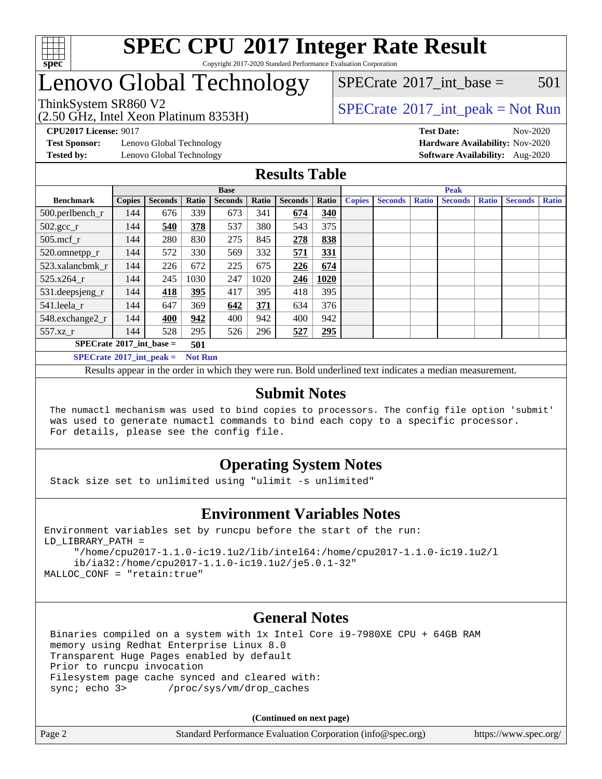

#### **[SPEC CPU](http://www.spec.org/auto/cpu2017/Docs/result-fields.html#SPECCPU2017IntegerRateResult)[2017 Integer Rate Result](http://www.spec.org/auto/cpu2017/Docs/result-fields.html#SPECCPU2017IntegerRateResult)** Copyright 2017-2020 Standard Performance Evaluation Corporation

## Lenovo Global Technology

(2.50 GHz, Intel Xeon Platinum 8353H)

 $SPECTate^{\circledcirc}2017$  int base = 501

### ThinkSystem SR860 V2<br>  $\begin{array}{c} \text{SPECTI}_{\text{S}} \text{SOR} \end{array}$  [SPECrate](http://www.spec.org/auto/cpu2017/Docs/result-fields.html#SPECrate2017intpeak)®[2017\\_int\\_peak = N](http://www.spec.org/auto/cpu2017/Docs/result-fields.html#SPECrate2017intpeak)ot Run

**[Test Sponsor:](http://www.spec.org/auto/cpu2017/Docs/result-fields.html#TestSponsor)** Lenovo Global Technology **[Hardware Availability:](http://www.spec.org/auto/cpu2017/Docs/result-fields.html#HardwareAvailability)** Nov-2020

**[CPU2017 License:](http://www.spec.org/auto/cpu2017/Docs/result-fields.html#CPU2017License)** 9017 **[Test Date:](http://www.spec.org/auto/cpu2017/Docs/result-fields.html#TestDate)** Nov-2020 **[Tested by:](http://www.spec.org/auto/cpu2017/Docs/result-fields.html#Testedby)** Lenovo Global Technology **[Software Availability:](http://www.spec.org/auto/cpu2017/Docs/result-fields.html#SoftwareAvailability)** Aug-2020

### **[Results Table](http://www.spec.org/auto/cpu2017/Docs/result-fields.html#ResultsTable)**

|                                                     | <b>Base</b>   |                |       |                | <b>Peak</b> |                |       |               |                |              |                |              |                |              |
|-----------------------------------------------------|---------------|----------------|-------|----------------|-------------|----------------|-------|---------------|----------------|--------------|----------------|--------------|----------------|--------------|
| <b>Benchmark</b>                                    | <b>Copies</b> | <b>Seconds</b> | Ratio | <b>Seconds</b> | Ratio       | <b>Seconds</b> | Ratio | <b>Copies</b> | <b>Seconds</b> | <b>Ratio</b> | <b>Seconds</b> | <b>Ratio</b> | <b>Seconds</b> | <b>Ratio</b> |
| $500.$ perlbench_r                                  | 144           | 676            | 339   | 673            | 341         | 674            | 340   |               |                |              |                |              |                |              |
| $502.\text{gcc}_r$                                  | 144           | 540            | 378   | 537            | 380         | 543            | 375   |               |                |              |                |              |                |              |
| $505$ .mcf $r$                                      | 144           | 280            | 830   | 275            | 845         | 278            | 838   |               |                |              |                |              |                |              |
| 520.omnetpp_r                                       | 144           | 572            | 330   | 569            | 332         | 571            | 331   |               |                |              |                |              |                |              |
| 523.xalancbmk r                                     | 144           | 226            | 672   | 225            | 675         | 226            | 674   |               |                |              |                |              |                |              |
| 525.x264 r                                          | 144           | 245            | 1030  | 247            | 1020        | 246            | 1020  |               |                |              |                |              |                |              |
| 531.deepsjeng_r                                     | 144           | 418            | 395   | 417            | 395         | 418            | 395   |               |                |              |                |              |                |              |
| 541.leela r                                         | 144           | 647            | 369   | 642            | 371         | 634            | 376   |               |                |              |                |              |                |              |
| 548.exchange2_r                                     | 144           | 400            | 942   | 400            | 942         | 400            | 942   |               |                |              |                |              |                |              |
| 557.xz r                                            | 144           | 528            | 295   | 526            | 296         | 527            | 295   |               |                |              |                |              |                |              |
| $SPECrate^{\circ}2017\_int\_base =$                 |               |                | 501   |                |             |                |       |               |                |              |                |              |                |              |
| $SPECrate^{\circ}2017$ int peak =<br><b>Not Run</b> |               |                |       |                |             |                |       |               |                |              |                |              |                |              |

Results appear in the [order in which they were run](http://www.spec.org/auto/cpu2017/Docs/result-fields.html#RunOrder). Bold underlined text [indicates a median measurement](http://www.spec.org/auto/cpu2017/Docs/result-fields.html#Median).

### **[Submit Notes](http://www.spec.org/auto/cpu2017/Docs/result-fields.html#SubmitNotes)**

 The numactl mechanism was used to bind copies to processors. The config file option 'submit' was used to generate numactl commands to bind each copy to a specific processor. For details, please see the config file.

### **[Operating System Notes](http://www.spec.org/auto/cpu2017/Docs/result-fields.html#OperatingSystemNotes)**

Stack size set to unlimited using "ulimit -s unlimited"

### **[Environment Variables Notes](http://www.spec.org/auto/cpu2017/Docs/result-fields.html#EnvironmentVariablesNotes)**

```
Environment variables set by runcpu before the start of the run:
LD_LIBRARY_PATH =
      "/home/cpu2017-1.1.0-ic19.1u2/lib/intel64:/home/cpu2017-1.1.0-ic19.1u2/l
      ib/ia32:/home/cpu2017-1.1.0-ic19.1u2/je5.0.1-32"
MALLOC_CONF = "retain:true"
```
### **[General Notes](http://www.spec.org/auto/cpu2017/Docs/result-fields.html#GeneralNotes)**

 Binaries compiled on a system with 1x Intel Core i9-7980XE CPU + 64GB RAM memory using Redhat Enterprise Linux 8.0 Transparent Huge Pages enabled by default Prior to runcpu invocation Filesystem page cache synced and cleared with: sync; echo 3> /proc/sys/vm/drop\_caches

**(Continued on next page)**

| Page 2<br>Standard Performance Evaluation Corporation (info@spec.org) | https://www.spec.org/ |
|-----------------------------------------------------------------------|-----------------------|
|-----------------------------------------------------------------------|-----------------------|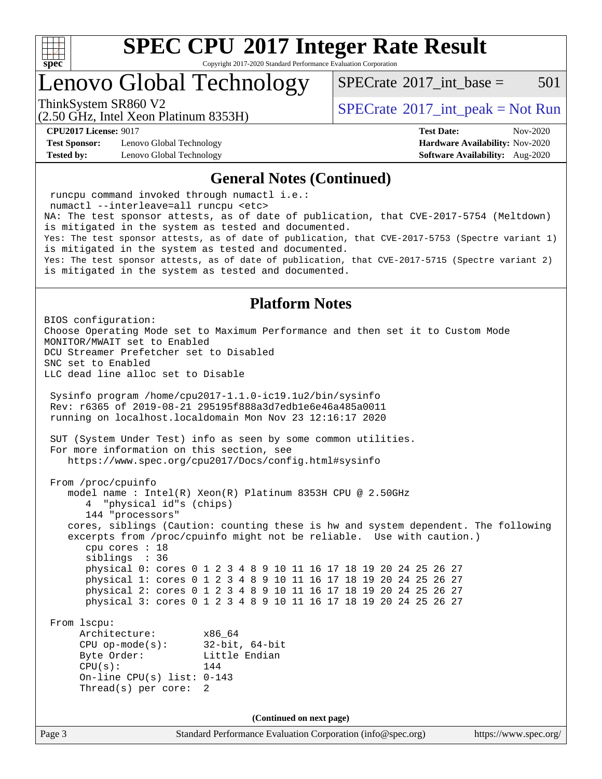

Copyright 2017-2020 Standard Performance Evaluation Corporation

### Lenovo Global Technology

 $SPECTate^{\circledcirc}2017$  int base = 501

(2.50 GHz, Intel Xeon Platinum 8353H)

ThinkSystem SR860 V2<br>  $\begin{array}{c} \text{SPECTI}_{\text{S}} \text{SOR} \end{array}$  [SPECrate](http://www.spec.org/auto/cpu2017/Docs/result-fields.html#SPECrate2017intpeak)®[2017\\_int\\_peak = N](http://www.spec.org/auto/cpu2017/Docs/result-fields.html#SPECrate2017intpeak)ot Run

**[Test Sponsor:](http://www.spec.org/auto/cpu2017/Docs/result-fields.html#TestSponsor)** Lenovo Global Technology **[Hardware Availability:](http://www.spec.org/auto/cpu2017/Docs/result-fields.html#HardwareAvailability)** Nov-2020 **[Tested by:](http://www.spec.org/auto/cpu2017/Docs/result-fields.html#Testedby)** Lenovo Global Technology **[Software Availability:](http://www.spec.org/auto/cpu2017/Docs/result-fields.html#SoftwareAvailability)** Aug-2020

**[CPU2017 License:](http://www.spec.org/auto/cpu2017/Docs/result-fields.html#CPU2017License)** 9017 **[Test Date:](http://www.spec.org/auto/cpu2017/Docs/result-fields.html#TestDate)** Nov-2020

#### **[General Notes \(Continued\)](http://www.spec.org/auto/cpu2017/Docs/result-fields.html#GeneralNotes)**

Page 3 Standard Performance Evaluation Corporation [\(info@spec.org\)](mailto:info@spec.org) <https://www.spec.org/> runcpu command invoked through numactl i.e.: numactl --interleave=all runcpu <etc> NA: The test sponsor attests, as of date of publication, that CVE-2017-5754 (Meltdown) is mitigated in the system as tested and documented. Yes: The test sponsor attests, as of date of publication, that CVE-2017-5753 (Spectre variant 1) is mitigated in the system as tested and documented. Yes: The test sponsor attests, as of date of publication, that CVE-2017-5715 (Spectre variant 2) is mitigated in the system as tested and documented. **[Platform Notes](http://www.spec.org/auto/cpu2017/Docs/result-fields.html#PlatformNotes)** BIOS configuration: Choose Operating Mode set to Maximum Performance and then set it to Custom Mode MONITOR/MWAIT set to Enabled DCU Streamer Prefetcher set to Disabled SNC set to Enabled LLC dead line alloc set to Disable Sysinfo program /home/cpu2017-1.1.0-ic19.1u2/bin/sysinfo Rev: r6365 of 2019-08-21 295195f888a3d7edb1e6e46a485a0011 running on localhost.localdomain Mon Nov 23 12:16:17 2020 SUT (System Under Test) info as seen by some common utilities. For more information on this section, see <https://www.spec.org/cpu2017/Docs/config.html#sysinfo> From /proc/cpuinfo model name : Intel(R) Xeon(R) Platinum 8353H CPU @ 2.50GHz 4 "physical id"s (chips) 144 "processors" cores, siblings (Caution: counting these is hw and system dependent. The following excerpts from /proc/cpuinfo might not be reliable. Use with caution.) cpu cores : 18 siblings : 36 physical 0: cores 0 1 2 3 4 8 9 10 11 16 17 18 19 20 24 25 26 27 physical 1: cores 0 1 2 3 4 8 9 10 11 16 17 18 19 20 24 25 26 27 physical 2: cores 0 1 2 3 4 8 9 10 11 16 17 18 19 20 24 25 26 27 physical 3: cores 0 1 2 3 4 8 9 10 11 16 17 18 19 20 24 25 26 27 From lscpu: Architecture: x86\_64 CPU op-mode(s): 32-bit, 64-bit Byte Order: Little Endian  $CPU(s):$  144 On-line CPU(s) list: 0-143 Thread(s) per core: 2 **(Continued on next page)**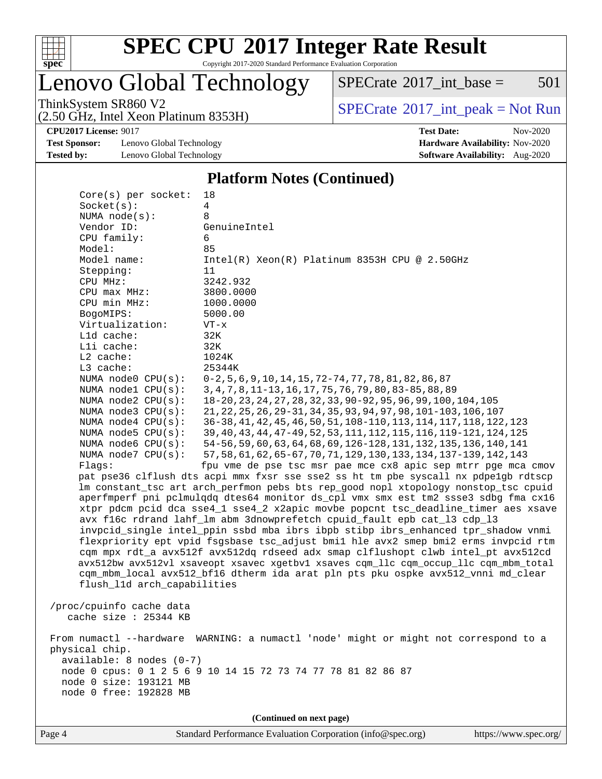

Copyright 2017-2020 Standard Performance Evaluation Corporation

# Lenovo Global Technology

 $SPECTate$ <sup>®</sup>[2017\\_int\\_base =](http://www.spec.org/auto/cpu2017/Docs/result-fields.html#SPECrate2017intbase) 501

(2.50 GHz, Intel Xeon Platinum 8353H)

ThinkSystem SR860 V2<br>  $(2.50 \text{ GHz, Intel Yoon Plutium } 8353H)$  [SPECrate](http://www.spec.org/auto/cpu2017/Docs/result-fields.html#SPECrate2017intpeak)®[2017\\_int\\_peak = N](http://www.spec.org/auto/cpu2017/Docs/result-fields.html#SPECrate2017intpeak)ot Run

**[Test Sponsor:](http://www.spec.org/auto/cpu2017/Docs/result-fields.html#TestSponsor)** Lenovo Global Technology **[Hardware Availability:](http://www.spec.org/auto/cpu2017/Docs/result-fields.html#HardwareAvailability)** Nov-2020 **[Tested by:](http://www.spec.org/auto/cpu2017/Docs/result-fields.html#Testedby)** Lenovo Global Technology **[Software Availability:](http://www.spec.org/auto/cpu2017/Docs/result-fields.html#SoftwareAvailability)** Aug-2020

**[CPU2017 License:](http://www.spec.org/auto/cpu2017/Docs/result-fields.html#CPU2017License)** 9017 **[Test Date:](http://www.spec.org/auto/cpu2017/Docs/result-fields.html#TestDate)** Nov-2020

#### **[Platform Notes \(Continued\)](http://www.spec.org/auto/cpu2017/Docs/result-fields.html#PlatformNotes)**

| Core(s) per socket:         | 18                                                                                   |
|-----------------------------|--------------------------------------------------------------------------------------|
| Socket(s):                  | 4                                                                                    |
| NUMA $node(s):$             | 8                                                                                    |
| Vendor ID:                  | GenuineIntel                                                                         |
| CPU family:                 | 6                                                                                    |
| Model:                      | 85                                                                                   |
| Model name:                 | $Intel(R) Xeon(R) Platinum 8353H CPU @ 2.50GHz$                                      |
| Stepping:                   | 11                                                                                   |
| CPU MHz:                    | 3242.932                                                                             |
| CPU max MHz:                | 3800.0000                                                                            |
| CPU min MHz:                | 1000.0000                                                                            |
| BogoMIPS:                   | 5000.00                                                                              |
| Virtualization:             | $VT - x$                                                                             |
| L1d cache:                  | 32K                                                                                  |
| Lli cache:                  | 32K                                                                                  |
| $L2$ cache:                 | 1024K                                                                                |
| L3 cache:                   | 25344K                                                                               |
| NUMA node0 CPU(s):          | $0-2, 5, 6, 9, 10, 14, 15, 72-74, 77, 78, 81, 82, 86, 87$                            |
| NUMA $node1$ $CPU(s):$      | 3, 4, 7, 8, 11-13, 16, 17, 75, 76, 79, 80, 83-85, 88, 89                             |
| NUMA node2 CPU(s):          | 18-20, 23, 24, 27, 28, 32, 33, 90-92, 95, 96, 99, 100, 104, 105                      |
| NUMA node3 CPU(s):          | 21, 22, 25, 26, 29-31, 34, 35, 93, 94, 97, 98, 101-103, 106, 107                     |
| NUMA $node4$ $CPU(s):$      | 36-38, 41, 42, 45, 46, 50, 51, 108-110, 113, 114, 117, 118, 122, 123                 |
| NUMA $node5$ $CPU(s):$      | 39, 40, 43, 44, 47-49, 52, 53, 111, 112, 115, 116, 119-121, 124, 125                 |
| NUMA node6 CPU(s):          | 54-56, 59, 60, 63, 64, 68, 69, 126-128, 131, 132, 135, 136, 140, 141                 |
| NUMA $node7$ CPU $(s)$ :    | 57, 58, 61, 62, 65-67, 70, 71, 129, 130, 133, 134, 137-139, 142, 143                 |
| Flags:                      | fpu vme de pse tsc msr pae mce cx8 apic sep mtrr pge mca cmov                        |
|                             | pat pse36 clflush dts acpi mmx fxsr sse sse2 ss ht tm pbe syscall nx pdpelgb rdtscp  |
|                             | lm constant_tsc art arch_perfmon pebs bts rep_good nopl xtopology nonstop_tsc cpuid  |
|                             | aperfmperf pni pclmulgdg dtes64 monitor ds_cpl vmx smx est tm2 ssse3 sdbg fma cx16   |
|                             | xtpr pdcm pcid dca sse4_1 sse4_2 x2apic movbe popcnt tsc_deadline_timer aes xsave    |
|                             | avx f16c rdrand lahf_lm abm 3dnowprefetch cpuid_fault epb cat_13 cdp_13              |
|                             | invpcid_single intel_ppin ssbd mba ibrs ibpb stibp ibrs_enhanced tpr_shadow vnmi     |
|                             | flexpriority ept vpid fsgsbase tsc_adjust bmil hle avx2 smep bmi2 erms invpcid rtm   |
|                             | cqm mpx rdt_a avx512f avx512dq rdseed adx smap clflushopt clwb intel_pt avx512cd     |
|                             | avx512bw avx512vl xsaveopt xsavec xgetbvl xsaves cqm_llc cqm_occup_llc cqm_mbm_total |
|                             | cqm_mbm_local avx512_bf16 dtherm ida arat pln pts pku ospke avx512_vnni md_clear     |
| flush_l1d arch_capabilities |                                                                                      |
|                             |                                                                                      |
| /proc/cpuinfo cache data    |                                                                                      |
| cache size $: 25344$ KB     |                                                                                      |
|                             | From numactl --hardware WARNING: a numactl 'node' might or might not correspond to a |
| physical chip.              |                                                                                      |
| $available: 8 nodes (0-7)$  |                                                                                      |
|                             | node 0 cpus: 0 1 2 5 6 9 10 14 15 72 73 74 77 78 81 82 86 87                         |
| node 0 size: 193121 MB      |                                                                                      |
| node 0 free: 192828 MB      |                                                                                      |
|                             |                                                                                      |
|                             | (Continued on next page)                                                             |
|                             |                                                                                      |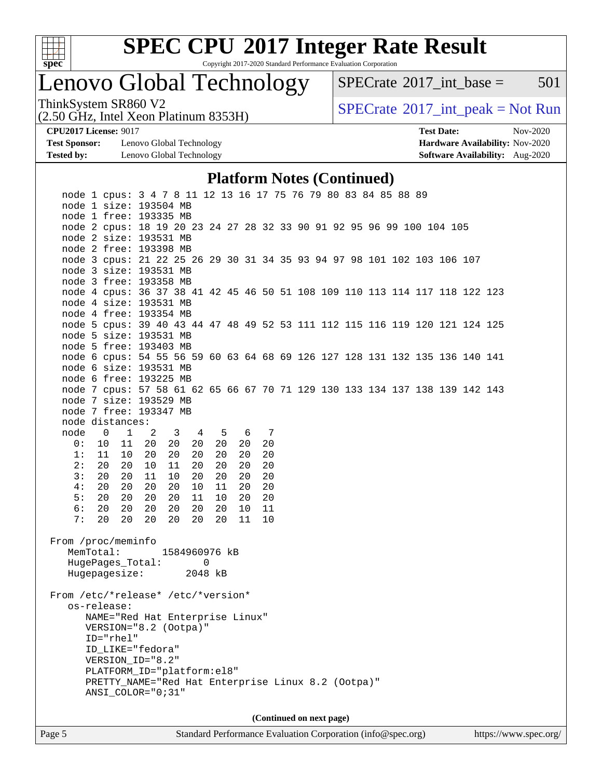

Copyright 2017-2020 Standard Performance Evaluation Corporation

### Lenovo Global Technology

 $SPECTate@2017\_int\_base = 501$ 

(2.50 GHz, Intel Xeon Platinum 8353H)

ThinkSystem SR860 V2<br>  $\begin{array}{c} \text{SPECTI}_{\text{S}} \text{SOR} \end{array}$  [SPECrate](http://www.spec.org/auto/cpu2017/Docs/result-fields.html#SPECrate2017intpeak)®[2017\\_int\\_peak = N](http://www.spec.org/auto/cpu2017/Docs/result-fields.html#SPECrate2017intpeak)ot Run

**[Test Sponsor:](http://www.spec.org/auto/cpu2017/Docs/result-fields.html#TestSponsor)** Lenovo Global Technology **[Hardware Availability:](http://www.spec.org/auto/cpu2017/Docs/result-fields.html#HardwareAvailability)** Nov-2020 **[Tested by:](http://www.spec.org/auto/cpu2017/Docs/result-fields.html#Testedby)** Lenovo Global Technology **[Software Availability:](http://www.spec.org/auto/cpu2017/Docs/result-fields.html#SoftwareAvailability)** Aug-2020

**[CPU2017 License:](http://www.spec.org/auto/cpu2017/Docs/result-fields.html#CPU2017License)** 9017 **[Test Date:](http://www.spec.org/auto/cpu2017/Docs/result-fields.html#TestDate)** Nov-2020

### **[Platform Notes \(Continued\)](http://www.spec.org/auto/cpu2017/Docs/result-fields.html#PlatformNotes)**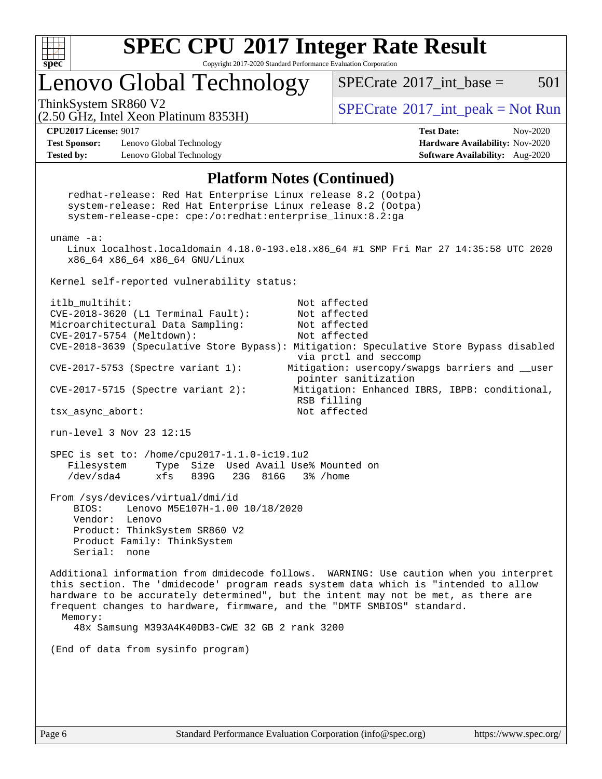

Copyright 2017-2020 Standard Performance Evaluation Corporation

### Lenovo Global Technology

 $SPECTate^{\circledast}2017$  int base = 501

(2.50 GHz, Intel Xeon Platinum 8353H)

ThinkSystem SR860 V2<br>  $\begin{array}{c} \text{SPECTI}_{\text{S}} \text{SOR} \end{array}$  [SPECrate](http://www.spec.org/auto/cpu2017/Docs/result-fields.html#SPECrate2017intpeak)®[2017\\_int\\_peak = N](http://www.spec.org/auto/cpu2017/Docs/result-fields.html#SPECrate2017intpeak)ot Run

**[Test Sponsor:](http://www.spec.org/auto/cpu2017/Docs/result-fields.html#TestSponsor)** Lenovo Global Technology **[Hardware Availability:](http://www.spec.org/auto/cpu2017/Docs/result-fields.html#HardwareAvailability)** Nov-2020 **[Tested by:](http://www.spec.org/auto/cpu2017/Docs/result-fields.html#Testedby)** Lenovo Global Technology **[Software Availability:](http://www.spec.org/auto/cpu2017/Docs/result-fields.html#SoftwareAvailability)** Aug-2020

**[CPU2017 License:](http://www.spec.org/auto/cpu2017/Docs/result-fields.html#CPU2017License)** 9017 **[Test Date:](http://www.spec.org/auto/cpu2017/Docs/result-fields.html#TestDate)** Nov-2020

#### **[Platform Notes \(Continued\)](http://www.spec.org/auto/cpu2017/Docs/result-fields.html#PlatformNotes)**

 redhat-release: Red Hat Enterprise Linux release 8.2 (Ootpa) system-release: Red Hat Enterprise Linux release 8.2 (Ootpa) system-release-cpe: cpe:/o:redhat:enterprise\_linux:8.2:ga uname -a: Linux localhost.localdomain 4.18.0-193.el8.x86\_64 #1 SMP Fri Mar 27 14:35:58 UTC 2020 x86\_64 x86\_64 x86\_64 GNU/Linux Kernel self-reported vulnerability status: itlb\_multihit: Not affected CVE-2018-3620 (L1 Terminal Fault): Not affected Microarchitectural Data Sampling: Not affected CVE-2017-5754 (Meltdown): Not affected CVE-2018-3639 (Speculative Store Bypass): Mitigation: Speculative Store Bypass disabled via prctl and seccomp CVE-2017-5753 (Spectre variant 1): Mitigation: usercopy/swapgs barriers and \_\_user pointer sanitization CVE-2017-5715 (Spectre variant 2): Mitigation: Enhanced IBRS, IBPB: conditional, RSB filling tsx\_async\_abort: Not affected run-level 3 Nov 23 12:15 SPEC is set to: /home/cpu2017-1.1.0-ic19.1u2 Filesystem Type Size Used Avail Use% Mounted on /dev/sda4 xfs 839G 23G 816G 3% /home From /sys/devices/virtual/dmi/id BIOS: Lenovo M5E107H-1.00 10/18/2020 Vendor: Lenovo Product: ThinkSystem SR860 V2 Product Family: ThinkSystem Serial: none Additional information from dmidecode follows. WARNING: Use caution when you interpret this section. The 'dmidecode' program reads system data which is "intended to allow hardware to be accurately determined", but the intent may not be met, as there are frequent changes to hardware, firmware, and the "DMTF SMBIOS" standard. Memory: 48x Samsung M393A4K40DB3-CWE 32 GB 2 rank 3200 (End of data from sysinfo program)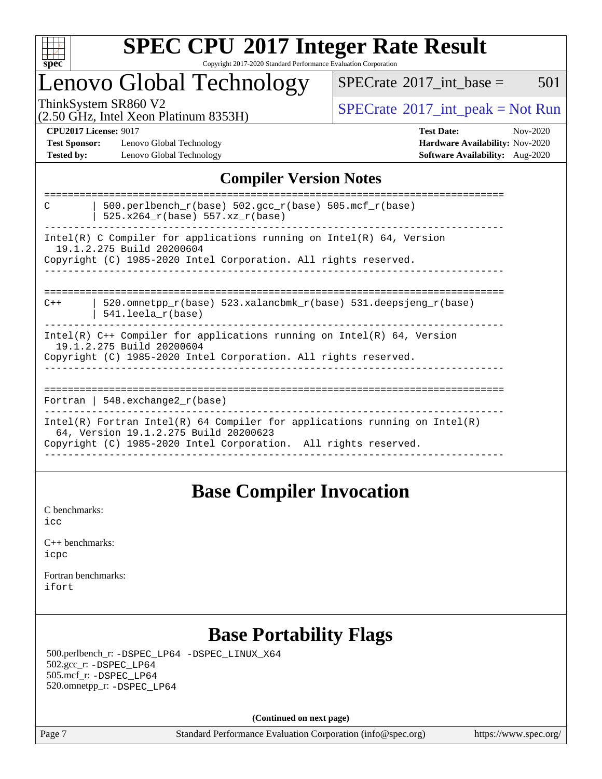

#### **[SPEC CPU](http://www.spec.org/auto/cpu2017/Docs/result-fields.html#SPECCPU2017IntegerRateResult)[2017 Integer Rate Result](http://www.spec.org/auto/cpu2017/Docs/result-fields.html#SPECCPU2017IntegerRateResult)** Copyright 2017-2020 Standard Performance Evaluation Corporation

### Lenovo Global Technology

 $SPECTate$ <sup>®</sup>[2017\\_int\\_base =](http://www.spec.org/auto/cpu2017/Docs/result-fields.html#SPECrate2017intbase) 501

(2.50 GHz, Intel Xeon Platinum 8353H)

ThinkSystem SR860 V2<br>  $\begin{array}{c}\n\text{SPECTB} \\
\text{SPECTB} \\
\text{SPECTB} \\
\text{SPECTB} \\
\text{SPECTB} \\
\text{SPECTB} \\
\text{SPECTB} \\
\text{SPECTB} \\
\text{SPECTB} \\
\text{SPECTB} \\
\text{SPECTB} \\
\text{SPECTB} \\
\text{SPECTB} \\
\text{SPECTB} \\
\text{SPECTB} \\
\text{SPECTB} \\
\text{SPECTB} \\
\text{SPECTB} \\
\text{SPECTB} \\
\text{SPECTB} \\
\text{SPECTB} \\
\text{SPECTB} \\
\text{S.} \\
\text{S.} \\$ 

**[Test Sponsor:](http://www.spec.org/auto/cpu2017/Docs/result-fields.html#TestSponsor)** Lenovo Global Technology **[Hardware Availability:](http://www.spec.org/auto/cpu2017/Docs/result-fields.html#HardwareAvailability)** Nov-2020 **[Tested by:](http://www.spec.org/auto/cpu2017/Docs/result-fields.html#Testedby)** Lenovo Global Technology **[Software Availability:](http://www.spec.org/auto/cpu2017/Docs/result-fields.html#SoftwareAvailability)** Aug-2020

**[CPU2017 License:](http://www.spec.org/auto/cpu2017/Docs/result-fields.html#CPU2017License)** 9017 **[Test Date:](http://www.spec.org/auto/cpu2017/Docs/result-fields.html#TestDate)** Nov-2020

### **[Compiler Version Notes](http://www.spec.org/auto/cpu2017/Docs/result-fields.html#CompilerVersionNotes)**

| 500.perlbench $r(base)$ 502.qcc $r(base)$ 505.mcf $r(base)$<br>C<br>525.x264 r(base) 557.xz r(base)                                                                                    |
|----------------------------------------------------------------------------------------------------------------------------------------------------------------------------------------|
| Intel(R) C Compiler for applications running on Intel(R) $64$ , Version<br>19.1.2.275 Build 20200604<br>Copyright (C) 1985-2020 Intel Corporation. All rights reserved.                |
| 520.omnetpp $r(base)$ 523.xalancbmk $r(base)$ 531.deepsjeng $r(base)$<br>$C++$<br>$541.$ leela r(base)                                                                                 |
| Intel(R) $C++$ Compiler for applications running on Intel(R) 64, Version<br>19.1.2.275 Build 20200604<br>Copyright (C) 1985-2020 Intel Corporation. All rights reserved.               |
| Fortran   548.exchange2 $r(base)$                                                                                                                                                      |
| Intel(R) Fortran Intel(R) 64 Compiler for applications running on Intel(R)<br>64, Version 19.1.2.275 Build 20200623<br>Copyright (C) 1985-2020 Intel Corporation. All rights reserved. |

### **[Base Compiler Invocation](http://www.spec.org/auto/cpu2017/Docs/result-fields.html#BaseCompilerInvocation)**

[C benchmarks](http://www.spec.org/auto/cpu2017/Docs/result-fields.html#Cbenchmarks): [icc](http://www.spec.org/cpu2017/results/res2020q4/cpu2017-20201207-24529.flags.html#user_CCbase_intel_icc_66fc1ee009f7361af1fbd72ca7dcefbb700085f36577c54f309893dd4ec40d12360134090235512931783d35fd58c0460139e722d5067c5574d8eaf2b3e37e92)

| $C_{++}$ benchmarks: |  |
|----------------------|--|
| icpc                 |  |

[Fortran benchmarks](http://www.spec.org/auto/cpu2017/Docs/result-fields.html#Fortranbenchmarks): [ifort](http://www.spec.org/cpu2017/results/res2020q4/cpu2017-20201207-24529.flags.html#user_FCbase_intel_ifort_8111460550e3ca792625aed983ce982f94888b8b503583aa7ba2b8303487b4d8a21a13e7191a45c5fd58ff318f48f9492884d4413fa793fd88dd292cad7027ca)

### **[Base Portability Flags](http://www.spec.org/auto/cpu2017/Docs/result-fields.html#BasePortabilityFlags)**

 500.perlbench\_r: [-DSPEC\\_LP64](http://www.spec.org/cpu2017/results/res2020q4/cpu2017-20201207-24529.flags.html#b500.perlbench_r_basePORTABILITY_DSPEC_LP64) [-DSPEC\\_LINUX\\_X64](http://www.spec.org/cpu2017/results/res2020q4/cpu2017-20201207-24529.flags.html#b500.perlbench_r_baseCPORTABILITY_DSPEC_LINUX_X64) 502.gcc\_r: [-DSPEC\\_LP64](http://www.spec.org/cpu2017/results/res2020q4/cpu2017-20201207-24529.flags.html#suite_basePORTABILITY502_gcc_r_DSPEC_LP64) 505.mcf\_r: [-DSPEC\\_LP64](http://www.spec.org/cpu2017/results/res2020q4/cpu2017-20201207-24529.flags.html#suite_basePORTABILITY505_mcf_r_DSPEC_LP64) 520.omnetpp\_r: [-DSPEC\\_LP64](http://www.spec.org/cpu2017/results/res2020q4/cpu2017-20201207-24529.flags.html#suite_basePORTABILITY520_omnetpp_r_DSPEC_LP64)

**(Continued on next page)**

Page 7 Standard Performance Evaluation Corporation [\(info@spec.org\)](mailto:info@spec.org) <https://www.spec.org/>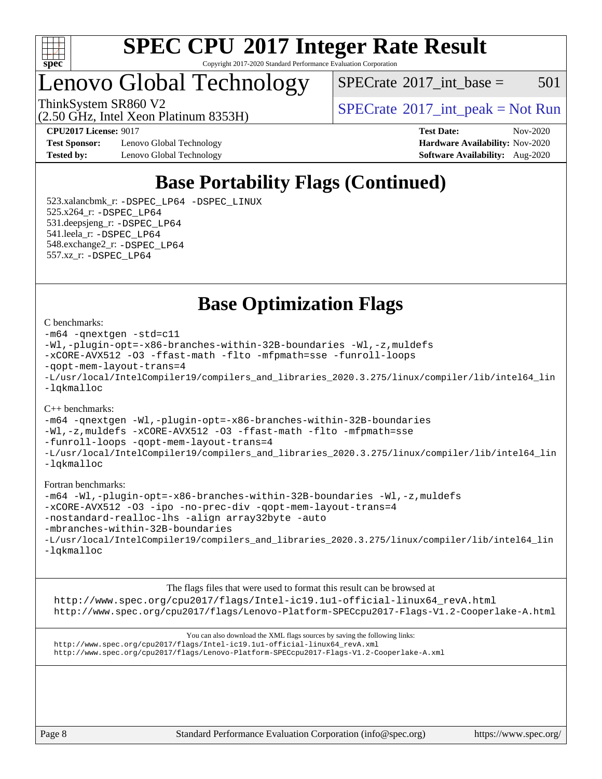

#### **[SPEC CPU](http://www.spec.org/auto/cpu2017/Docs/result-fields.html#SPECCPU2017IntegerRateResult)[2017 Integer Rate Result](http://www.spec.org/auto/cpu2017/Docs/result-fields.html#SPECCPU2017IntegerRateResult)** Copyright 2017-2020 Standard Performance Evaluation Corporation

### Lenovo Global Technology

(2.50 GHz, Intel Xeon Platinum 8353H)

 $SPECTate@2017\_int\_base = 501$ 

ThinkSystem SR860 V2<br>  $\begin{array}{c} \text{SPECTI}_{\text{S}} \text{SOR} \end{array}$  [SPECrate](http://www.spec.org/auto/cpu2017/Docs/result-fields.html#SPECrate2017intpeak)®[2017\\_int\\_peak = N](http://www.spec.org/auto/cpu2017/Docs/result-fields.html#SPECrate2017intpeak)ot Run

**[Test Sponsor:](http://www.spec.org/auto/cpu2017/Docs/result-fields.html#TestSponsor)** Lenovo Global Technology **[Hardware Availability:](http://www.spec.org/auto/cpu2017/Docs/result-fields.html#HardwareAvailability)** Nov-2020 **[Tested by:](http://www.spec.org/auto/cpu2017/Docs/result-fields.html#Testedby)** Lenovo Global Technology **[Software Availability:](http://www.spec.org/auto/cpu2017/Docs/result-fields.html#SoftwareAvailability)** Aug-2020

**[CPU2017 License:](http://www.spec.org/auto/cpu2017/Docs/result-fields.html#CPU2017License)** 9017 **[Test Date:](http://www.spec.org/auto/cpu2017/Docs/result-fields.html#TestDate)** Nov-2020

### **[Base Portability Flags \(Continued\)](http://www.spec.org/auto/cpu2017/Docs/result-fields.html#BasePortabilityFlags)**

 523.xalancbmk\_r: [-DSPEC\\_LP64](http://www.spec.org/cpu2017/results/res2020q4/cpu2017-20201207-24529.flags.html#suite_basePORTABILITY523_xalancbmk_r_DSPEC_LP64) [-DSPEC\\_LINUX](http://www.spec.org/cpu2017/results/res2020q4/cpu2017-20201207-24529.flags.html#b523.xalancbmk_r_baseCXXPORTABILITY_DSPEC_LINUX) 525.x264\_r: [-DSPEC\\_LP64](http://www.spec.org/cpu2017/results/res2020q4/cpu2017-20201207-24529.flags.html#suite_basePORTABILITY525_x264_r_DSPEC_LP64) 531.deepsjeng\_r: [-DSPEC\\_LP64](http://www.spec.org/cpu2017/results/res2020q4/cpu2017-20201207-24529.flags.html#suite_basePORTABILITY531_deepsjeng_r_DSPEC_LP64) 541.leela\_r: [-DSPEC\\_LP64](http://www.spec.org/cpu2017/results/res2020q4/cpu2017-20201207-24529.flags.html#suite_basePORTABILITY541_leela_r_DSPEC_LP64) 548.exchange2\_r: [-DSPEC\\_LP64](http://www.spec.org/cpu2017/results/res2020q4/cpu2017-20201207-24529.flags.html#suite_basePORTABILITY548_exchange2_r_DSPEC_LP64) 557.xz\_r: [-DSPEC\\_LP64](http://www.spec.org/cpu2017/results/res2020q4/cpu2017-20201207-24529.flags.html#suite_basePORTABILITY557_xz_r_DSPEC_LP64)

**[Base Optimization Flags](http://www.spec.org/auto/cpu2017/Docs/result-fields.html#BaseOptimizationFlags)**

#### [C benchmarks](http://www.spec.org/auto/cpu2017/Docs/result-fields.html#Cbenchmarks):

```
-m64 -qnextgen -std=c11
-Wl,-plugin-opt=-x86-branches-within-32B-boundaries -Wl,-z,muldefs
-xCORE-AVX512 -O3 -ffast-math -flto -mfpmath=sse -funroll-loops
-qopt-mem-layout-trans=4
-L/usr/local/IntelCompiler19/compilers_and_libraries_2020.3.275/linux/compiler/lib/intel64_lin
-lqkmalloc
```
#### [C++ benchmarks](http://www.spec.org/auto/cpu2017/Docs/result-fields.html#CXXbenchmarks):

[-m64](http://www.spec.org/cpu2017/results/res2020q4/cpu2017-20201207-24529.flags.html#user_CXXbase_m64-icc) [-qnextgen](http://www.spec.org/cpu2017/results/res2020q4/cpu2017-20201207-24529.flags.html#user_CXXbase_f-qnextgen) [-Wl,-plugin-opt=-x86-branches-within-32B-boundaries](http://www.spec.org/cpu2017/results/res2020q4/cpu2017-20201207-24529.flags.html#user_CXXbase_f-x86-branches-within-32B-boundaries_0098b4e4317ae60947b7b728078a624952a08ac37a3c797dfb4ffeb399e0c61a9dd0f2f44ce917e9361fb9076ccb15e7824594512dd315205382d84209e912f3) [-Wl,-z,muldefs](http://www.spec.org/cpu2017/results/res2020q4/cpu2017-20201207-24529.flags.html#user_CXXbase_link_force_multiple1_b4cbdb97b34bdee9ceefcfe54f4c8ea74255f0b02a4b23e853cdb0e18eb4525ac79b5a88067c842dd0ee6996c24547a27a4b99331201badda8798ef8a743f577) [-xCORE-AVX512](http://www.spec.org/cpu2017/results/res2020q4/cpu2017-20201207-24529.flags.html#user_CXXbase_f-xCORE-AVX512) [-O3](http://www.spec.org/cpu2017/results/res2020q4/cpu2017-20201207-24529.flags.html#user_CXXbase_f-O3) [-ffast-math](http://www.spec.org/cpu2017/results/res2020q4/cpu2017-20201207-24529.flags.html#user_CXXbase_f-ffast-math) [-flto](http://www.spec.org/cpu2017/results/res2020q4/cpu2017-20201207-24529.flags.html#user_CXXbase_f-flto) [-mfpmath=sse](http://www.spec.org/cpu2017/results/res2020q4/cpu2017-20201207-24529.flags.html#user_CXXbase_f-mfpmath_70eb8fac26bde974f8ab713bc9086c5621c0b8d2f6c86f38af0bd7062540daf19db5f3a066d8c6684be05d84c9b6322eb3b5be6619d967835195b93d6c02afa1) [-funroll-loops](http://www.spec.org/cpu2017/results/res2020q4/cpu2017-20201207-24529.flags.html#user_CXXbase_f-funroll-loops) [-qopt-mem-layout-trans=4](http://www.spec.org/cpu2017/results/res2020q4/cpu2017-20201207-24529.flags.html#user_CXXbase_f-qopt-mem-layout-trans_fa39e755916c150a61361b7846f310bcdf6f04e385ef281cadf3647acec3f0ae266d1a1d22d972a7087a248fd4e6ca390a3634700869573d231a252c784941a8) [-L/usr/local/IntelCompiler19/compilers\\_and\\_libraries\\_2020.3.275/linux/compiler/lib/intel64\\_lin](http://www.spec.org/cpu2017/results/res2020q4/cpu2017-20201207-24529.flags.html#user_CXXbase_linkpath_6eb3b1b8be403820338b5b82e7a1c217a861a8962ac718a6253be1483b50620487664a39a847caf560d84a6b8bab7cca33d9f414525a12ede1e9473db34a3d08) [-lqkmalloc](http://www.spec.org/cpu2017/results/res2020q4/cpu2017-20201207-24529.flags.html#user_CXXbase_qkmalloc_link_lib_79a818439969f771c6bc311cfd333c00fc099dad35c030f5aab9dda831713d2015205805422f83de8875488a2991c0a156aaa600e1f9138f8fc37004abc96dc5)

#### [Fortran benchmarks:](http://www.spec.org/auto/cpu2017/Docs/result-fields.html#Fortranbenchmarks)

```
-m64 -Wl,-plugin-opt=-x86-branches-within-32B-boundaries -Wl,-z,muldefs
-xCORE-AVX512 -O3 -ipo -no-prec-div -qopt-mem-layout-trans=4
-nostandard-realloc-lhs -align array32byte -auto
-mbranches-within-32B-boundaries
-L/usr/local/IntelCompiler19/compilers_and_libraries_2020.3.275/linux/compiler/lib/intel64_lin
-lqkmalloc
```
[The flags files that were used to format this result can be browsed at](tmsearch) [http://www.spec.org/cpu2017/flags/Intel-ic19.1u1-official-linux64\\_revA.html](http://www.spec.org/cpu2017/flags/Intel-ic19.1u1-official-linux64_revA.html) <http://www.spec.org/cpu2017/flags/Lenovo-Platform-SPECcpu2017-Flags-V1.2-Cooperlake-A.html>

[You can also download the XML flags sources by saving the following links:](tmsearch) [http://www.spec.org/cpu2017/flags/Intel-ic19.1u1-official-linux64\\_revA.xml](http://www.spec.org/cpu2017/flags/Intel-ic19.1u1-official-linux64_revA.xml) <http://www.spec.org/cpu2017/flags/Lenovo-Platform-SPECcpu2017-Flags-V1.2-Cooperlake-A.xml>